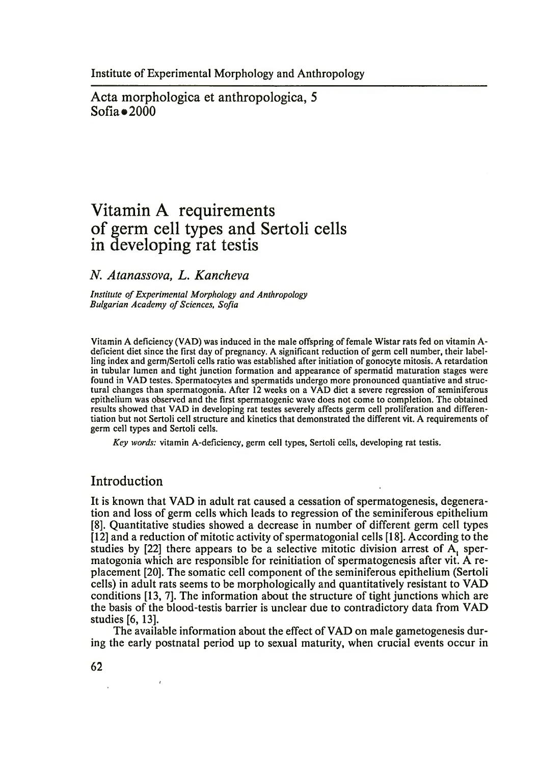Acta morphologica et anthropologica, 5 Sofia $\bullet$  2000

# **Vitamin A requirements of germ cell types and Sertoli cells in developing rat testis**

## *N. Atanassova, L. Kancheva*

*Institute of Experimental Morphology and Anthropology Bulgarian Academy of Sciences, Sofia*

Vitamin A deficiency (VAD) was induced in the male offspring of female Wistar rats fed on vitamin Adeficient diet since the first day of pregnancy. A significant reduction of germ cell number, their labelling index and germ/Sertoli cells ratio was established after initiation of gonocyte mitosis. A retardation in tubular lumen and tight junction formation and appearance of spermatid maturation stages were found in VAD testes. Spermatocytes and spermatids undergo more pronounced quantiative and structural changes than spermatogonia. After 12 weeks on a VAD diet a severe regression of seminiferous epithelium was observed and the first spermatogenic wave does not come to completion. The obtained results showed that VAD in developing rat testes severely affects germ cell proliferation and differentiation but not Sertoli cell structure and kinetics that demonstrated the different vit. A requirements of germ cell types and Sertoli cells.

*Key words:* vitamin A-deficiency, germ cell types, Sertoli cells, developing rat testis.

### Introduction

It is known that VAD in adult rat caused a cessation of spermatogenesis, degeneration and loss of germ cells which leads to regression of the seminiferous epithelium [8]. Quantitative studies showed a decrease in number of different germ cell types [12] and a reduction of mitotic activity of spermatogonial cells [18]. According to the studies by [22] there appears to be a selective mitotic division arrest of A, spermatogonia which are responsible for reinitiation of spermatogenesis after vit. A replacement [20]. The somatic cell component of the seminiferous epithelium (Sertoli cells) in adult rats seems to be morphologically and quantitatively resistant to VAD conditions [13, 7]. The information about the structure of tight junctions which are the basis of the blood-testis barrier is unclear due to contradictory data from VAD studies [6,13].

The available information about the effect of VAD on male gametogenesis during the early postnatal period up to sexual maturity, when crucial events occur in

 $\cdot$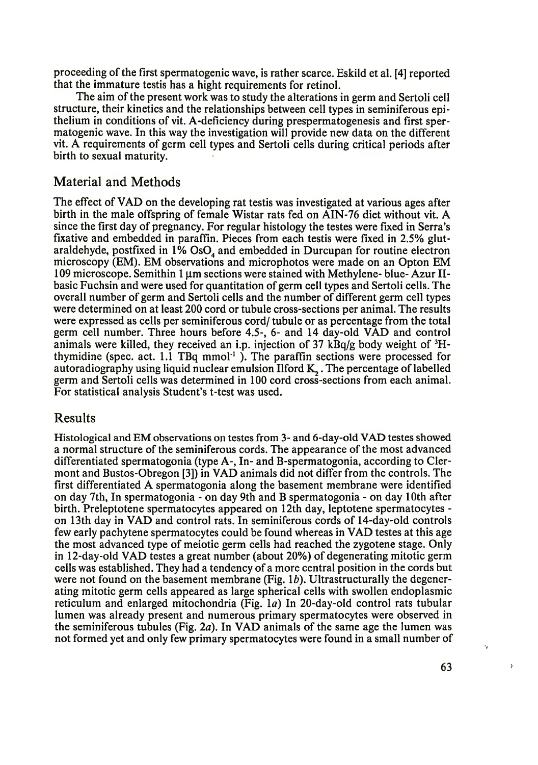proceeding of the first spermatogenic wave, is rather scarce. Eskild et al. [4] reported that the immature testis has a hight requirements for retinol.

The aim of the present work was to study the alterations in germ and Sertoli cell structure, their kinetics and the relationships between cell types in seminiferous epithelium in conditions of vit. A-deficiency during prespermatogenesis and first spermatogenic wave. In this way the investigation will provide new data on the different vit. A requirements of germ cell types and Sertoli cells during critical periods after birth to sexual maturity.

## Material and Methods

The effect of VAD on the developing rat testis was investigated at various ages after birth in the male offspring of female Wistar rats fed on AIN-76 diet without vit. A since the first day of pregnancy. For regular histology the testes were fixed in Serra's fixative and embedded in paraffin. Pieces from each testis were fixed in 2.5% glutaraldehyde, postfixed in  $1\%$  OsO, and embedded in Durcupan for routine electron microscopy (EM). EM observations and microphotos were made on an Opton EM  $109$  microscope. Semithin 1  $\mu$ m sections were stained with Methylene- blue-Azur IIbasic Fuchsin and were used for quantitation of germ cell types and Sertoli cells. The overall number of germ and Sertoli cells and the number of different germ cell types were determined on at least 200 cord or tubule cross-sections per animal. The results were expressed as cells per seminiferous cord/ tubule or as percentage from the total germ cell number. Three hours before 4.5-, 6- and 14 day-old VAD and control animals were killed, they received an i.p. injection of 37 kBq/g body weight of  ${}^{3}$ Hthymidine (spec. act. 1.1 TBq mmol'1 ). The paraffin sections were processed for autoradiography using liquid nuclear emulsion  $I$ lford  $K$ . The percentage of labelled germ and Sertoli cells was determined in 100 cord cross-sections from each animal. For statistical analysis Student's t-test was used.

## Results

Histological and EM observations on testes from 3- and 6-day-old VAD testes showed a normal structure of the seminiferous cords. The appearance of the most advanced differentiated spermatogonia (type A-, In- and B-spermatogonia, according to Clermont and Bustos-Obregon [3]) in VAD animals did not differ from the controls. The first differentiated A spermatogonia along the basement membrane were identified on day 7th, In spermatogonia - on day 9th and B spermatogonia - on day 10th after birth. Preleptotene spermatocytes appeared on 12th day, leptotene spermatocytes on 13th day in VAD and control rats. In seminiferous cords of 14-day-old controls few early pachytene spermatocytes could be found whereas in VAD testes at this age the most advanced type of meiotic germ cells had reached the zygotene stage. Only in 12-day-old VAD testes a great number (about 20%) of degenerating mitotic germ cells was established. They had a tendency of a more central position in the cords but were not found on the basement membrane (Fig. 1*b*). Ultrastructurally the degenerating mitotic germ cells appeared as large spherical cells with swollen endoplasmic reticulum and enlarged mitochondria (Fig. la) In 20-day-old control rats tubular lumen was already present and numerous primary spermatocytes were observed in the seminiferous tubules (Fig. 2a). In VAD animals of the same age the lumen was not formed yet and only few primary spermatocytes were found in a small number of

 $\ddot{\phantom{a}}$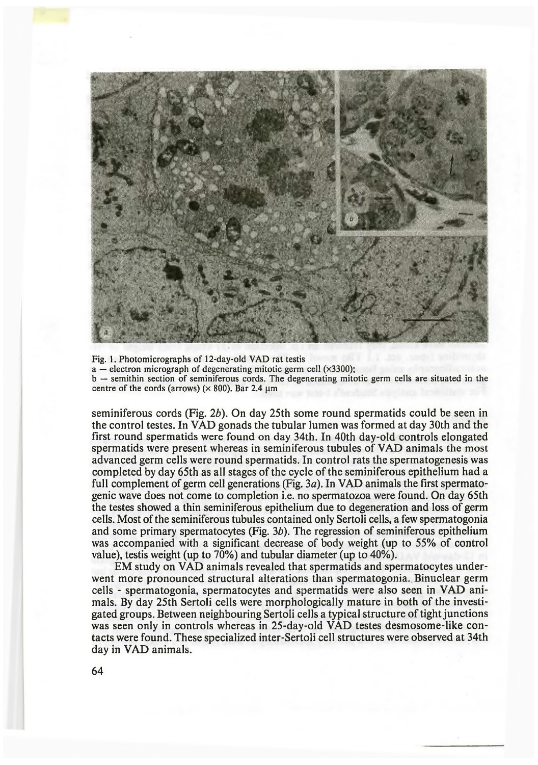

Fig. 1. Photomicrographs of 12-day-old VAD rat testis a — electron micrograph of degenerating mitotic germ cell (хЗЗОО); b — semithin section of seminiferous cords. The degenerating mitotic germ cells are situated in the centre of the cords (arrows) ( $\times$  800). Bar 2.4  $\mu$ m

seminiferous cords (Fig. *2b).* On day 25th some round spermatids could be seen in the control testes. In VAD gonads the tubular lumen was formed at day 30th and the first round spermatids were found on day 34th. In 40th day-old controls elongated spermatids were present whereas in seminiferous tubules of VAD animals the most advanced germ cells were round spermatids. In control rats the spermatogenesis was completed by day 65th as all stages of the cycle of the seminiferous epithelium had a full complement of germ cell generations (Fig. 3*a).* In VAD animals the first spermatogenic wave does not come to completion i.e. no spermatozoa were found. On day 65th the testes showed a thin seminiferous epithelium due to degeneration and loss of germ cells. Most of the seminiferous tubules contained only Sertoli cells, a few spermatogonia and some primary spermatocytes (Fig. *3b).* The regression of seminiferous epithelium was accompanied with a significant decrease of body weight (up to 55% of control value), testis weight (up to 70%) and tubular diameter (up to 40%).

EM study on VAD animals revealed that spermatids and spermatocytes underwent more pronounced structural alterations than spermatogonia. Binuclear germ cells - spermatogonia, spermatocytes and spermatids were also seen in VAD animals. By day 25th Sertoli cells were morphologically mature in both of the investigated groups. Between neighbouring Sertoli cells a typical structure of tight junctions was seen only in controls whereas in 25-day-old VAD testes desmosome-like contacts were found. These specialized inter-Sertoli cell structures were observed at 34th day in VAD animals.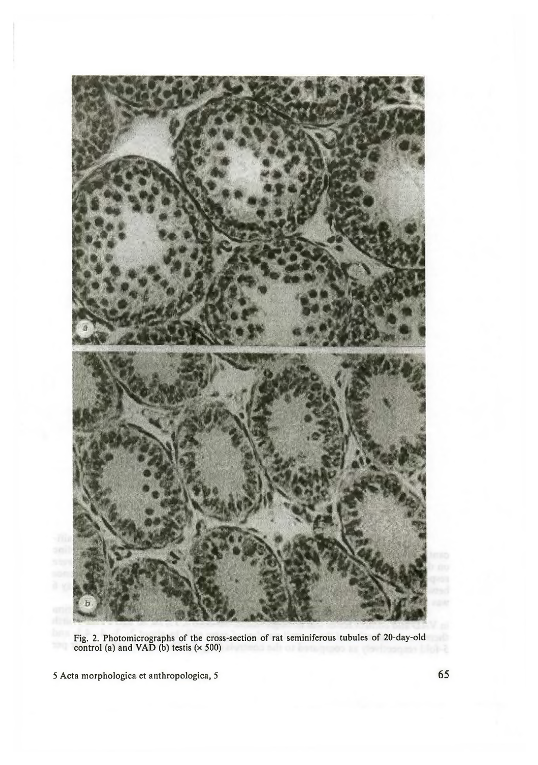

Fig. 2. Photomicrographs of the cross-section of rat seminiferous tubules of 20-day-old control (a) and  $VAD$  (b) testis  $(\times 500)$ 

5 Acta morphologica et anthropologica, 5 65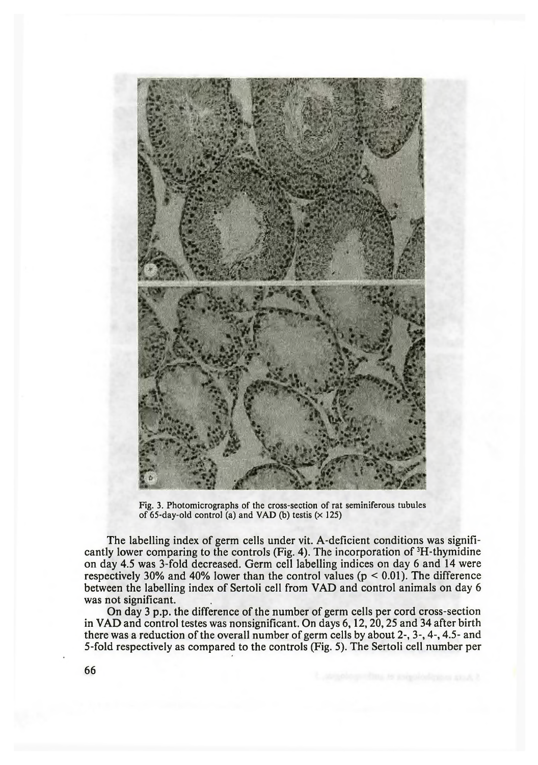

Fig. 3. Photomicrographs of the cross-section of rat seminiferous tubules of 65-day-old control (a) and VAD (b) testis  $(x 125)$ 

The labelling index of germ cells under vit. A-deficient conditions was significantly lower comparing to the controls (Fig. 4). The incorporation of <sup>3</sup>H-thymidine on day 4.5 was 3-fold decreased. Germ cell labelling indices on day 6 and 14 were respectively 30% and 40% lower than the control values ( $p < 0.01$ ). The difference between the labelling index of Sertoli cell from VAD and control animals on day 6 was not significant.

On day 3 p.p. the difference of the number of germ cells per cord cross-section in VAD and control testes was nonsignificant. On days 6,12,20,25 and 34 after birth there was a reduction of the overall number of germ cells by about 2-, 3-, 4-, 4.5- and 5-fold respectively as compared to the controls (Fig. 5). The Sertoli cell number per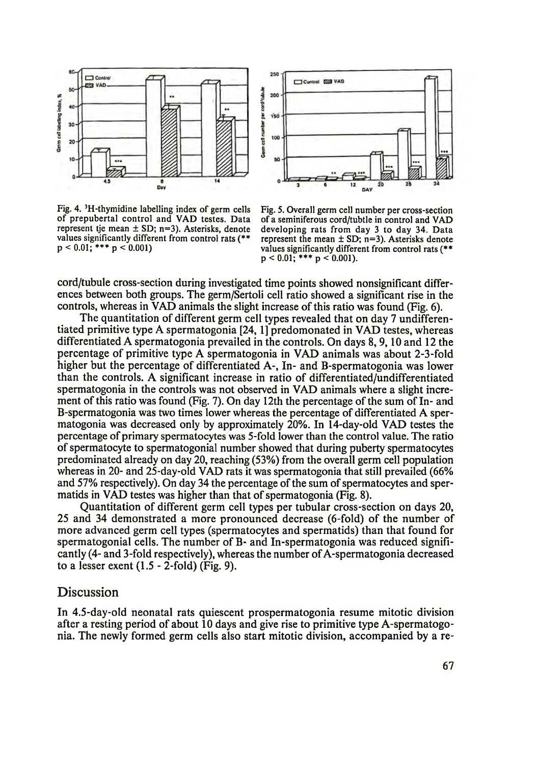

Fig. 4. <sup>3</sup>H-thymidine labelling index of germ cells of prepubertal control and VAD testes. Data represent tje mean  $\pm$  SD; n=3). Asterisks, denote values significantly different from control rats *(\*\**  $p < 0.01$ ; \*\*\*  $p < 0.001$ 



Fig. 5. Overall germ cell number per cross-section of a seminiferous cord/tubtle in control and VAD developing rats from day 3 to day 34. Data represent the mean  $\pm$  SD; n=3). Asterisks denote values significantly different from control rats (\*\*  $p < 0.01$ ; \*\*\*  $p < 0.001$ ).

cord/tubule cross-section during investigated time points showed nonsignificant differences between both groups. The germ/Sertoli cell ratio showed a significant rise in the controls, whereas in VAD animals the slight increase of this ratio was found (Fig. 6).

The quantitation of different germ cell types revealed that on day 7 undifferentiated primitive type A spermatogonia [24,1] predomonated in VAD testes, whereas differentiated A spermatogonia prevailed in the controls. On days 8,9,10 and 12 the percentage of primitive type A spermatogonia in VAD animals was about 2-3-fold higher but the percentage of differentiated A-, In- and B-spermatogonia was lower than the controls. A significant increase in ratio of differentiated/undifferentiated spermatogonia in the controls was not observed in VAD animals where a slight increment of this ratio was found (Fig. 7). On day 12th the percentage of the sum of In- and B-spermatogonia was two times lower whereas the percentage of differentiated A spermatogonia was decreased only by approximately 20%. In 14-day-old VAD testes the percentage of primary spermatocytes was 5-fold lower than the control value. The ratio of spermatocyte to spermatogonial number showed that during puberty spermatocytes predominated already on day 20, reaching (53%) from the overall germ cell population whereas in 20- and 25-day-old VAD rats it was spermatogonia that still prevailed (66% and 57% respectively). On day 34 the percentage of the sum of spermatocytes and spermatids in VAD testes was higher than that of spermatogonia (Fig. 8).

Quantitation of different germ cell types per tubular cross-section on days 20, 25 and 34 demonstrated a more pronounced decrease (6-fold) of the number of more advanced germ cell types (spermatocytes and spermatids) than that found for spermatogonial cells. The number of B- and In-spermatogonia was reduced significantly (4- and 3-fold respectively), whereas the number of A-spermatogonia decreased to a lesser exent (1.5 - 2-fold) (Fig. 9).

#### Discussion

In 4.5-day-old neonatal rats quiescent prospermatogonia resume mitotic division after a resting period of about 10 days and give rise to primitive type A-spermatogonia. The newly formed germ cells also start mitotic division, accompanied by a re-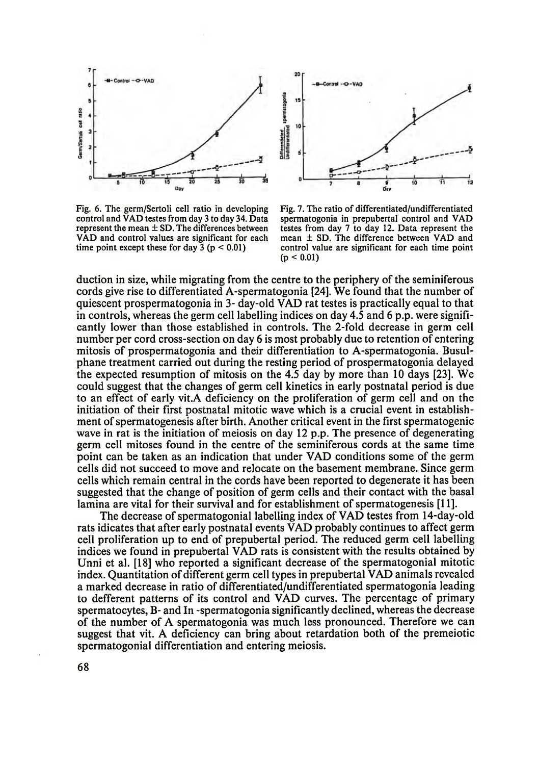

Fig. 6. The germ/Sertoli cell ratio in developing control and VAD testes from day 3 to day 34. Data represent the mean  $\pm$  SD. The differences between VAD and control values are significant for each time point except these for day  $3 (p < 0.01)$ 



Fig. 7. The ratio of differentiated/undifferentiated spermatogonia in prepubertal control and VAD testes from day 7 to day 12. Data represent the mean ± SD. The difference between VAD and control value are significant for each time point  $(p < 0.01)$ 

duction in size, while migrating from the centre to the periphery of the seminiferous cords give rise to differentiated A-spermatogonia [24]. We found that the number of quiescent prospermatogonia in 3- day-old VAD rat testes is practically equal to that in controls, whereas the germ cell labelling indices on day 4.5 and 6 p.p. were significantly lower than those established in controls. The 2-fold decrease in germ cell number per cord cross-section on day 6 is most probably due to retention of entering mitosis of prospermatogonia and their differentiation to A-spermatogonia. Busulphane treatment carried out during the resting period of prospermatogonia delayed the expected resumption of mitosis on the 4.5 day by more than 10 days [23]. We could suggest that the changes of germ cell kinetics in early postnatal period is due to an effect of early vit.A deficiency on the proliferation of germ cell and on the initiation of their first postnatal mitotic wave which is a crucial event in establishment of spermatogenesis after birth. Another critical event in the first spermatogenic wave in rat is the initiation of meiosis on day 12 p.p. The presence of degenerating germ cell mitoses found in the centre of the seminiferous cords at the same time point can be taken as an indication that under VAD conditions some of the germ cells did not succeed to move and relocate on the basement membrane. Since germ cells which remain central in the cords have been reported to degenerate it has been suggested that the change of position of germ cells and their contact with the basal lamina are vital for their survival and for establishment of spermatogenesis [11].

The decrease of spermatogonial labelling index of VAD testes from 14-day-old rats idicates that after early postnatal events VAD probably continues to affect germ cell proliferation up to end of prepubertal period. The reduced germ cell labelling indices we found in prepubertal VAD rats is consistent with the results obtained by Unni et al. [18] who reported a significant decrease of the spermatogonial mitotic index. Quantitation of different germ cell types in prepubertal VAD animals revealed a marked decrease in ratio of differentiated/undifferentiated spermatogonia leading to defferent patterns of its control and VAD curves. The percentage of primary spermatocytes, B- and In -spermatogonia significantly declined, whereas the decrease of the number of A spermatogonia was much less pronounced. Therefore we can suggest that vit. A deficiency can bring about retardation both of the premeiotic spermatogonial differentiation and entering meiosis.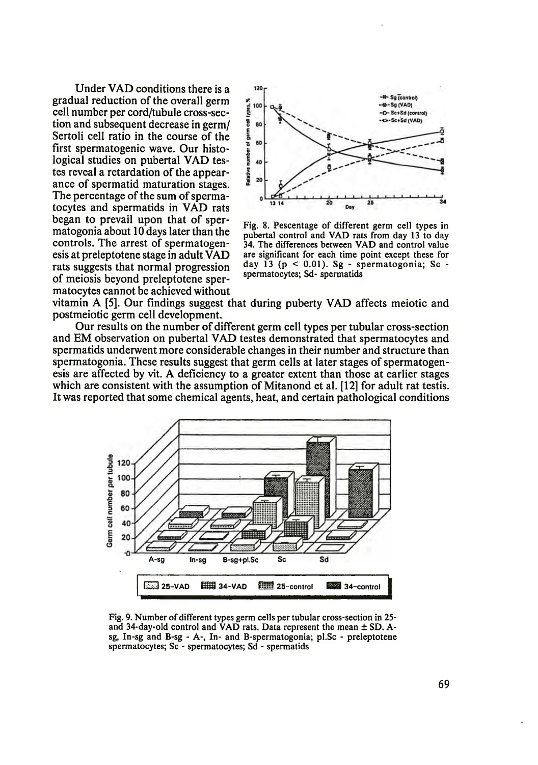Under VAD conditions there is a gradual reduction of the overall germ cell number per cord/tubule cross-section and subsequent decrease in germ/ Sertoli cell ratio in the course of the first spermatogenic wave. Our histological studies on pubertal VAD testes reveal a retardation of the appearance of spermatid maturation stages. The percentage of the sum of spermatocytes and spermatids in VAD rats began to prevail upon that of spermatogonia about 10 days later than the controls. The arrest of spermatogenesis at preleptotene stage in adult VAD rats suggests that normal progression of meiosis beyond preleptotene spermatocytes cannot be achieved without



Fig. 8. Pescentage of different germ cell types in pubertal control and VAD rats from day 13 to day 34. The differences between VAD and control value are significant for each time point except these for day  $13$  ( $p < 0.01$ ). Sg - spermatogonia; Sc spermatocytes; Sd- spermatids

vitamin A [5]. Our findings suggest that during puberty VAD affects meiotic and postmeiotic germ cell development.

Our results on the number of different germ cell types per tubular cross-section and EM observation on pubertal VAD testes demonstrated that spermatocytes and spermatids underwent more considerable changes in their number and structure than spermatogonia. These results suggest that germ cells at later stages of spermatogenesis are affected by vit. A deficiency to a greater extent than those at earlier stages which are consistent with the assumption of Mitanond et al. [12] for adult rat testis. It was reported that some chemical agents, heat, and certain pathological conditions



Fig. 9. Number of different types germ cells per tubular cross-section in 25 and 34-day-old control and VAD rats. Data represent the mean ± SD. Asg, In-sg and B-sg - A-, In- and B-spermatogonia; pl.Sc - preleptotene spermatocytes; Sc - spermatocytes; Sd - spermatids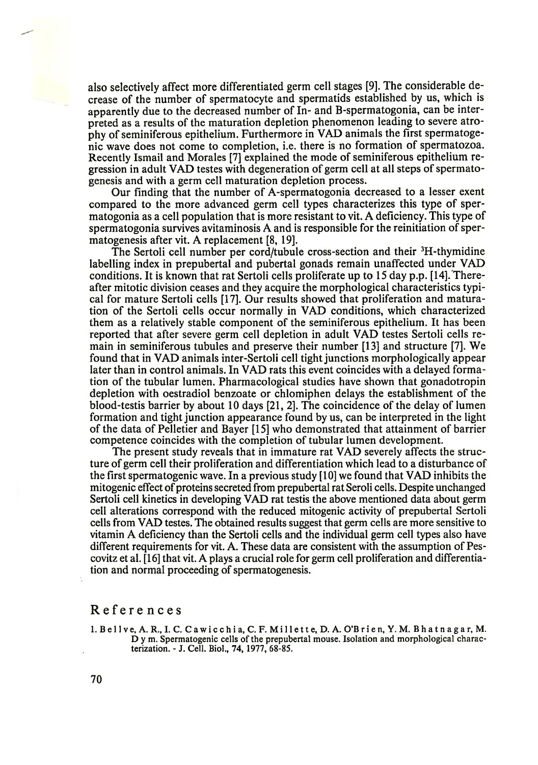also selectively affect more differentiated germ cell stages [9]. The considerable decrease of the number of spermatocyte and spermatids established by us, which is apparently due to the decreased number of In- and B-spermatogonia, can be interpreted as a results of the maturation depletion phenomenon leading to severe atrophy of seminiferous epithelium. Furthermore in VAD animals the first spermatogenic wave does not come to completion, i.e. there is no formation of spermatozoa. Recently Ismail and Morales [7] explained the mode of seminiferous epithelium regression in adult VAD testes with degeneration of germ cell at all steps of spermatogenesis and with a germ cell maturation depletion process.

Our finding that the number of A-spermatogonia decreased to a lesser exent compared to the more advanced germ cell types characterizes this type of spermatogonia as a cell population that is more resistant to vit. A deficiency. This type of spermatogonia survives avitaminosis A and is responsible for the reinitiation of spermatogenesis after vit. A replacement [8,19].

The Sertoli cell number per cord/tubule cross-section and their <sup>3</sup>H-thymidine labelling index in prepubertal and pubertal gonads remain unaffected under VAD conditions. It is known that rat Sertoli cells proliferate up to 15 day p.p. [14]. Thereafter mitotic division ceases and they acquire the morphological characteristics typical for mature Sertoli cells [17]. Our results showed that proliferation and maturation of the Sertoli cells occur normally in VAD conditions, which characterized them as a relatively stable component of the seminiferous epithelium. It has been reported that after severe germ cell depletion in adult VAD testes Sertoli cells remain in seminiferous tubules and preserve their number [13] and structure [7]. We found that in VAD animals inter-Sertoli cell tight junctions morphologically appear later than in control animals. In VAD rats this event coincides with a delayed formation of the tubular lumen. Pharmacological studies have shown that gonadotropin depletion with oestradiol benzoate or chlomiphen delays the establishment of the blood-testis barrier by about 10 days [21,2]. The coincidence of the delay of lumen formation and tight junction appearance found by us, can be interpreted in the light of the data of Pelletier and Bayer [15] who demonstrated that attainment of barrier competence coincides with the completion of tubular lumen development.

The present study reveals that in immature rat VAD severely affects the structure of germ cell their proliferation and differentiation which lead to a disturbance of the first spermatogenic wave. In a previous study [10] we found that VAD inhibits the mitogenic effect of proteins secreted from prepubertal rat Seroli cells. Despite unchanged Sertoli cell kinetics in developing VAD rat testis the above mentioned data about germ cell alterations correspond with the reduced mitogenic activity of prepubertal Sertoli cells from VAD testes. The obtained results suggest that germ cells are more sensitive to vitamin A deficiency than the Sertoli cells and the individual germ cell types also have different requirements for vit. A. These data are consistent with the assumption of Pescovitz et al. [16] that vit. A plays a crucial role for germ cell proliferation and differentiation and normal proceeding of spermatogenesis.

#### References

1. Bellve, A. R., I. C. Cawicchia, C. F. Millette, D. A. O'Brien, Y. M. Bhatnagar, M. D y m. Spermatogenic cells of the prepubertal mouse. Isolation and morphological characterization. - J. Cell. Biol., 74, 1977, 68-85.